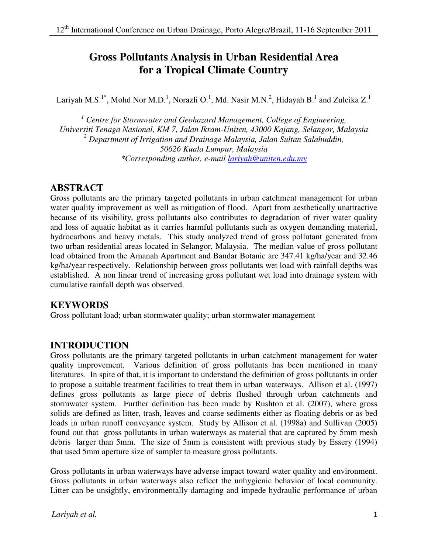# **Gross Pollutants Analysis in Urban Residential Area for a Tropical Climate Country**

Lariyah M.S.<sup>1\*</sup>, Mohd Nor M.D.<sup>1</sup>, Norazli O.<sup>1</sup>, Md. Nasir M.N.<sup>2</sup>, Hidayah B.<sup>1</sup> and Zuleika Z.<sup>1</sup>

<sup>1</sup> Centre for Stormwater and Geohazard Management, College of Engineering, *Universiti Tenaga Nasional, KM 7, Jalan Ikram-Uniten, 43000 Kajang, Selangor, Malaysia 2 Department of Irrigation and Drainage Malaysia, Jalan Sultan Salahuddin, 50626 Kuala Lumpur, Malaysia \*Corresponding author, e-mail lariyah@uniten.edu.my*

# **ABSTRACT**

Gross pollutants are the primary targeted pollutants in urban catchment management for urban water quality improvement as well as mitigation of flood. Apart from aesthetically unattractive because of its visibility, gross pollutants also contributes to degradation of river water quality and loss of aquatic habitat as it carries harmful pollutants such as oxygen demanding material, hydrocarbons and heavy metals. This study analyzed trend of gross pollutant generated from two urban residential areas located in Selangor, Malaysia. The median value of gross pollutant load obtained from the Amanah Apartment and Bandar Botanic are 347.41 kg/ha/year and 32.46 kg/ha/year respectively. Relationship between gross pollutants wet load with rainfall depths was established. A non linear trend of increasing gross pollutant wet load into drainage system with cumulative rainfall depth was observed.

### **KEYWORDS**

Gross pollutant load; urban stormwater quality; urban stormwater management

## **INTRODUCTION**

Gross pollutants are the primary targeted pollutants in urban catchment management for water quality improvement. Various definition of gross pollutants has been mentioned in many literatures. In spite of that, it is important to understand the definition of gross pollutants in order to propose a suitable treatment facilities to treat them in urban waterways. Allison et al. (1997) defines gross pollutants as large piece of debris flushed through urban catchments and stormwater system. Further definition has been made by Rushton et al. (2007), where gross solids are defined as litter, trash, leaves and coarse sediments either as floating debris or as bed loads in urban runoff conveyance system. Study by Allison et al. (1998a) and Sullivan (2005) found out that gross pollutants in urban waterways as material that are captured by 5mm mesh debris larger than 5mm. The size of 5mm is consistent with previous study by Essery (1994) that used 5mm aperture size of sampler to measure gross pollutants.

Gross pollutants in urban waterways have adverse impact toward water quality and environment. Gross pollutants in urban waterways also reflect the unhygienic behavior of local community. Litter can be unsightly, environmentally damaging and impede hydraulic performance of urban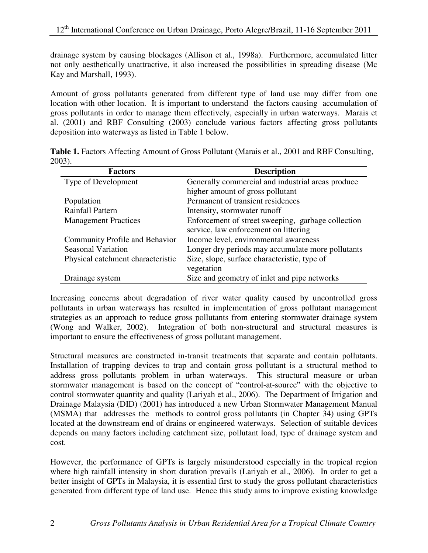drainage system by causing blockages (Allison et al., 1998a). Furthermore, accumulated litter not only aesthetically unattractive, it also increased the possibilities in spreading disease (Mc Kay and Marshall, 1993).

Amount of gross pollutants generated from different type of land use may differ from one location with other location. It is important to understand the factors causing accumulation of gross pollutants in order to manage them effectively, especially in urban waterways. Marais et al. (2001) and RBF Consulting (2003) conclude various factors affecting gross pollutants deposition into waterways as listed in Table 1 below.

**Table 1.** Factors Affecting Amount of Gross Pollutant (Marais et al., 2001 and RBF Consulting, 2003).

| <b>Factors</b>                    | <b>Description</b>                                                                          |
|-----------------------------------|---------------------------------------------------------------------------------------------|
| Type of Development               | Generally commercial and industrial areas produce                                           |
|                                   | higher amount of gross pollutant                                                            |
| Population                        | Permanent of transient residences                                                           |
| <b>Rainfall Pattern</b>           | Intensity, stormwater runoff                                                                |
| <b>Management Practices</b>       | Enforcement of street sweeping, garbage collection<br>service, law enforcement on littering |
| Community Profile and Behavior    | Income level, environmental awareness                                                       |
| <b>Seasonal Variation</b>         | Longer dry periods may accumulate more pollutants                                           |
| Physical catchment characteristic | Size, slope, surface characteristic, type of<br>vegetation                                  |
| Drainage system                   | Size and geometry of inlet and pipe networks                                                |

Increasing concerns about degradation of river water quality caused by uncontrolled gross pollutants in urban waterways has resulted in implementation of gross pollutant management strategies as an approach to reduce gross pollutants from entering stormwater drainage system (Wong and Walker, 2002). Integration of both non-structural and structural measures is important to ensure the effectiveness of gross pollutant management.

Structural measures are constructed in-transit treatments that separate and contain pollutants. Installation of trapping devices to trap and contain gross pollutant is a structural method to address gross pollutants problem in urban waterways. This structural measure or urban stormwater management is based on the concept of "control-at-source" with the objective to control stormwater quantity and quality (Lariyah et al., 2006). The Department of Irrigation and Drainage Malaysia (DID) (2001) has introduced a new Urban Stormwater Management Manual (MSMA) that addresses the methods to control gross pollutants (in Chapter 34) using GPTs located at the downstream end of drains or engineered waterways. Selection of suitable devices depends on many factors including catchment size, pollutant load, type of drainage system and cost.

However, the performance of GPTs is largely misunderstood especially in the tropical region where high rainfall intensity in short duration prevails (Lariyah et al., 2006). In order to get a better insight of GPTs in Malaysia, it is essential first to study the gross pollutant characteristics generated from different type of land use. Hence this study aims to improve existing knowledge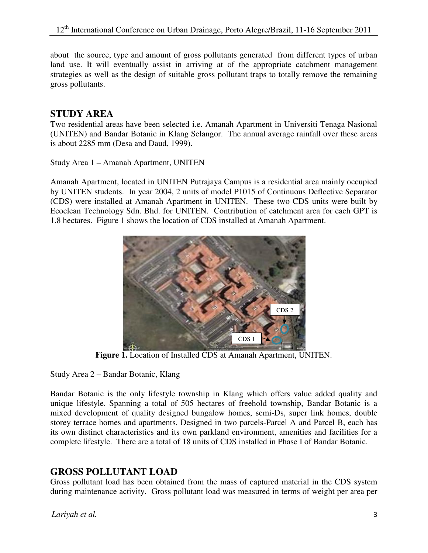about the source, type and amount of gross pollutants generated from different types of urban land use. It will eventually assist in arriving at of the appropriate catchment management strategies as well as the design of suitable gross pollutant traps to totally remove the remaining gross pollutants.

# **STUDY AREA**

Two residential areas have been selected i.e. Amanah Apartment in Universiti Tenaga Nasional (UNITEN) and Bandar Botanic in Klang Selangor. The annual average rainfall over these areas is about 2285 mm (Desa and Daud, 1999).

Study Area 1 – Amanah Apartment, UNITEN

Amanah Apartment, located in UNITEN Putrajaya Campus is a residential area mainly occupied by UNITEN students. In year 2004, 2 units of model P1015 of Continuous Deflective Separator (CDS) were installed at Amanah Apartment in UNITEN. These two CDS units were built by Ecoclean Technology Sdn. Bhd. for UNITEN. Contribution of catchment area for each GPT is 1.8 hectares. Figure 1 shows the location of CDS installed at Amanah Apartment.



**Figure 1.** Location of Installed CDS at Amanah Apartment, UNITEN.

Study Area 2 – Bandar Botanic, Klang

Bandar Botanic is the only lifestyle township in Klang which offers value added quality and unique lifestyle. Spanning a total of 505 hectares of freehold township, Bandar Botanic is a mixed development of quality designed bungalow homes, semi-Ds, super link homes, double storey terrace homes and apartments. Designed in two parcels-Parcel A and Parcel B, each has its own distinct characteristics and its own parkland environment, amenities and facilities for a complete lifestyle. There are a total of 18 units of CDS installed in Phase I of Bandar Botanic.

## **GROSS POLLUTANT LOAD**

Gross pollutant load has been obtained from the mass of captured material in the CDS system during maintenance activity. Gross pollutant load was measured in terms of weight per area per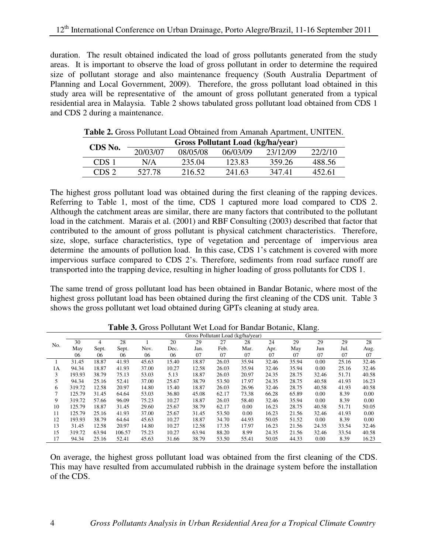duration. The result obtained indicated the load of gross pollutants generated from the study areas. It is important to observe the load of gross pollutant in order to determine the required size of pollutant storage and also maintenance frequency (South Australia Department of Planning and Local Government, 2009). Therefore, the gross pollutant load obtained in this study area will be representative of the amount of gross pollutant generated from a typical residential area in Malaysia. Table 2 shows tabulated gross pollutant load obtained from CDS 1 and CDS 2 during a maintenance.

| <b>Tuble 2.</b> Oross I chalant Loud Oblamca Hom Fundman Figurament, OF (FILM). |                                          |          |          |          |         |  |  |
|---------------------------------------------------------------------------------|------------------------------------------|----------|----------|----------|---------|--|--|
| CDS No.                                                                         | <b>Gross Pollutant Load (kg/ha/year)</b> |          |          |          |         |  |  |
|                                                                                 | 20/03/07                                 | 08/05/08 | 06/03/09 | 23/12/09 | 22/2/10 |  |  |
| CDS 1                                                                           | N/A                                      | 235.04   | 123.83   | 359.26   | 488.56  |  |  |
| CDS 2                                                                           | 527.78                                   | 216.52   | 241.63   | 347.41   | 452.61  |  |  |

**Table 2.** Gross Pollutant Load Obtained from Amanah Apartment, UNITEN.

The highest gross pollutant load was obtained during the first cleaning of the rapping devices. Referring to Table 1, most of the time, CDS 1 captured more load compared to CDS 2. Although the catchment areas are similar, there are many factors that contributed to the pollutant load in the catchment. Marais et al. (2001) and RBF Consulting (2003) described that factor that contributed to the amount of gross pollutant is physical catchment characteristics. Therefore, size, slope, surface characteristics, type of vegetation and percentage of impervious area determine the amounts of pollution load. In this case, CDS 1's catchment is covered with more impervious surface compared to CDS 2's. Therefore, sediments from road surface runoff are transported into the trapping device, resulting in higher loading of gross pollutants for CDS 1.

The same trend of gross pollutant load has been obtained in Bandar Botanic, where most of the highest gross pollutant load has been obtained during the first cleaning of the CDS unit. Table 3 shows the gross pollutant wet load obtained during GPTs cleaning at study area.

|     |        |       |        |       |       | Gross Pollutant Load (kg/ha/year) |       |       |       |       |       |       |       |
|-----|--------|-------|--------|-------|-------|-----------------------------------|-------|-------|-------|-------|-------|-------|-------|
| No. | 30     | 4     | 28     |       | 20    | 29                                | 27    | 28    | 24    | 29    | 29    | 29    | 28    |
|     | May    | Sept. | Sept.  | Nov.  | Dec.  | Jan.                              | Feb.  | Mar.  | Apr.  | May   | Jun   | Jul.  | Aug.  |
|     | 06     | 06    | 06     | 06    | 06    | 07                                | 07    | 07    | 07    | 07    | 07    | 07    | 07    |
|     | 31.45  | 18.87 | 41.93  | 45.63 | 15.40 | 18.87                             | 26.03 | 35.94 | 32.46 | 35.94 | 0.00  | 25.16 | 32.46 |
| 1А  | 94.34  | 18.87 | 41.93  | 37.00 | 10.27 | 12.58                             | 26.03 | 35.94 | 32.46 | 35.94 | 0.00  | 25.16 | 32.46 |
| 3   | 193.93 | 38.79 | 75.13  | 53.03 | 5.13  | 18.87                             | 26.03 | 20.97 | 24.35 | 28.75 | 32.46 | 51.71 | 40.58 |
| 5   | 94.34  | 25.16 | 52.41  | 37.00 | 25.67 | 38.79                             | 53.50 | 17.97 | 24.35 | 28.75 | 40.58 | 41.93 | 16.23 |
| 6   | 319.72 | 12.58 | 20.97  | 14.80 | 15.40 | 18.87                             | 26.03 | 26.96 | 32.46 | 28.75 | 40.58 | 41.93 | 40.58 |
| 7   | 125.79 | 31.45 | 64.64  | 53.03 | 36.80 | 45.08                             | 62.17 | 73.38 | 66.28 | 65.89 | 0.00  | 8.39  | 0.00  |
| 9   | 319.72 | 57.66 | 96.09  | 75.23 | 10.27 | 18.87                             | 26.03 | 58.40 | 32.46 | 35.94 | 0.00  | 8.39  | 0.00  |
| 10  | 125.79 | 18.87 | 31.45  | 29.60 | 25.67 | 38.79                             | 62.17 | 0.00  | 16.23 | 28.75 | 40.58 | 51.71 | 50.05 |
| 11  | 125.79 | 25.16 | 41.93  | 37.00 | 25.67 | 31.45                             | 53.50 | 0.00  | 16.23 | 21.56 | 32.46 | 41.93 | 0.00  |
| 12  | 193.93 | 38.79 | 64.64  | 45.63 | 10.27 | 18.87                             | 34.70 | 44.93 | 50.05 | 51.52 | 0.00  | 8.39  | 0.00  |
| 13  | 31.45  | 12.58 | 20.97  | 14.80 | 10.27 | 12.58                             | 17.35 | 17.97 | 16.23 | 21.56 | 24.35 | 33.54 | 32.46 |
| 15  | 319.72 | 63.94 | 106.57 | 75.23 | 10.27 | 63.94                             | 88.20 | 8.99  | 24.35 | 21.56 | 32.46 | 33.54 | 40.58 |
| 17  | 94.34  | 25.16 | 52.41  | 45.63 | 31.66 | 38.79                             | 53.50 | 55.41 | 50.05 | 44.33 | 0.00  | 8.39  | 16.23 |

**Table 3.** Gross Pollutant Wet Load for Bandar Botanic, Klang.

On average, the highest gross pollutant load was obtained from the first cleaning of the CDS. This may have resulted from accumulated rubbish in the drainage system before the installation of the CDS.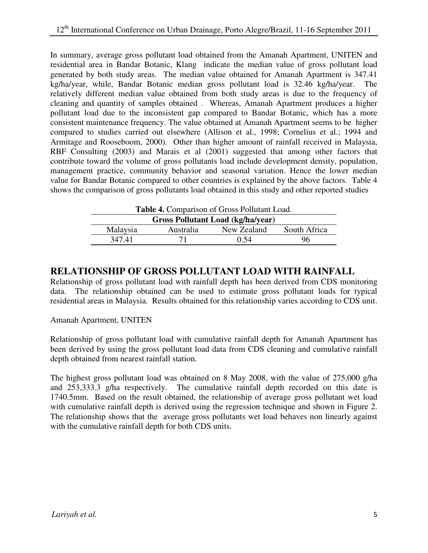In summary, average gross pollutant load obtained from the Amanah Apartment, UNITEN and residential area in Bandar Botanic, Klang indicate the median value of gross pollutant load generated by both study areas. The median value obtained for Amanah Apartment is 347.41 kg/ha/year, while, Bandar Botanic median gross pollutant load is 32.46 kg/ha/year. The relatively different median value obtained from both study areas is due to the frequency of cleaning and quantity of samples obtained . Whereas, Amanah Apartment produces a higher pollutant load due to the inconsistent gap compared to Bandar Botanic, which has a more consistent maintenance frequency. The value obtained at Amanah Apartment seems to be higher compared to studies carried out elsewhere (Allison et al., 1998; Cornelius et al.; 1994 and Armitage and Rooseboom, 2000). Other than higher amount of rainfall received in Malaysia, RBF Consulting (2003) and Marais et al (2001) suggested that among other factors that contribute toward the volume of gross pollutants load include development density, population, management practice, community behavior and seasonal variation. Hence the lower median value for Bandar Botanic compared to other countries is explained by the above factors. Table 4 shows the comparison of gross pollutants load obtained in this study and other reported studies

|  | <b>Table 4.</b> Comparison of Gross Pollutant Load. |
|--|-----------------------------------------------------|
|--|-----------------------------------------------------|

|              | <b>Gross Pollutant Load (kg/ha/year)</b> |                  |          |  |  |  |
|--------------|------------------------------------------|------------------|----------|--|--|--|
| South Africa | New Zealand                              | <b>Australia</b> | Malaysia |  |  |  |
| 96           | (1.54)                                   |                  | 347.41   |  |  |  |
|              |                                          |                  |          |  |  |  |

### **RELATIONSHIP OF GROSS POLLUTANT LOAD WITH RAINFALL**

Relationship of gross pollutant load with rainfall depth has been derived from CDS monitoring data. The relationship obtained can be used to estimate gross pollutant loads for typical residential areas in Malaysia. Results obtained for this relationship varies according to CDS unit.

Amanah Apartment, UNITEN

Relationship of gross pollutant load with cumulative rainfall depth for Amanah Apartment has been derived by using the gross pollutant load data from CDS cleaning and cumulative rainfall depth obtained from nearest rainfall station.

The highest gross pollutant load was obtained on 8 May 2008, with the value of 275,000 g/ha and 253,333.3 g/ha respectively. The cumulative rainfall depth recorded on this date is 1740.5mm. Based on the result obtained, the relationship of average gross pollutant wet load with cumulative rainfall depth is derived using the regression technique and shown in Figure 2. The relationship shows that the average gross pollutants wet load behaves non linearly against with the cumulative rainfall depth for both CDS units.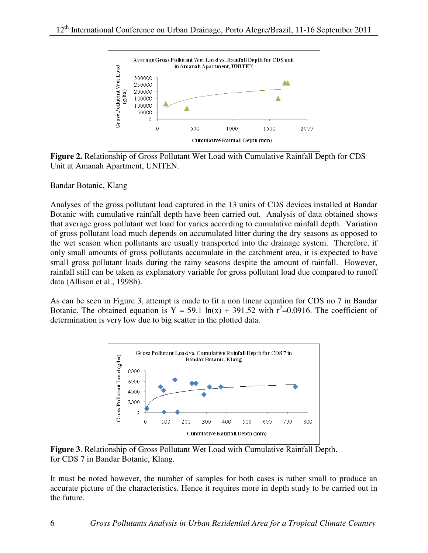

**Figure 2.** Relationship of Gross Pollutant Wet Load with Cumulative Rainfall Depth for CDS Unit at Amanah Apartment, UNITEN.

Bandar Botanic, Klang

Analyses of the gross pollutant load captured in the 13 units of CDS devices installed at Bandar Botanic with cumulative rainfall depth have been carried out. Analysis of data obtained shows that average gross pollutant wet load for varies according to cumulative rainfall depth. Variation of gross pollutant load much depends on accumulated litter during the dry seasons as opposed to the wet season when pollutants are usually transported into the drainage system. Therefore, if only small amounts of gross pollutants accumulate in the catchment area, it is expected to have small gross pollutant loads during the rainy seasons despite the amount of rainfall. However, rainfall still can be taken as explanatory variable for gross pollutant load due compared to runoff data (Allison et al., 1998b).

As can be seen in Figure 3, attempt is made to fit a non linear equation for CDS no 7 in Bandar Botanic. The obtained equation is  $Y = 59.1 \ln(x) + 391.52 \text{ with } r^2 = 0.0916$ . The coefficient of determination is very low due to big scatter in the plotted data.



**Figure 3**. Relationship of Gross Pollutant Wet Load with Cumulative Rainfall Depth. for CDS 7 in Bandar Botanic, Klang.

It must be noted however, the number of samples for both cases is rather small to produce an accurate picture of the characteristics. Hence it requires more in depth study to be carried out in the future.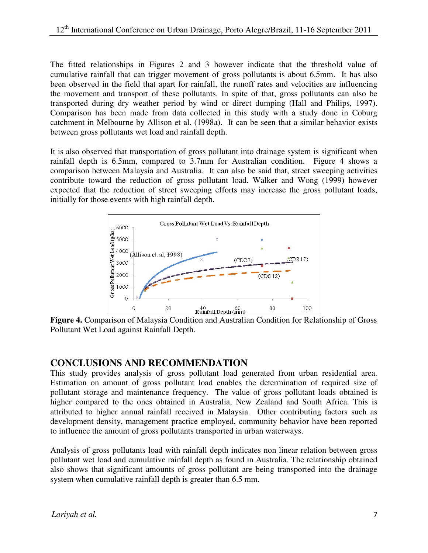The fitted relationships in Figures 2 and 3 however indicate that the threshold value of cumulative rainfall that can trigger movement of gross pollutants is about 6.5mm. It has also been observed in the field that apart for rainfall, the runoff rates and velocities are influencing the movement and transport of these pollutants. In spite of that, gross pollutants can also be transported during dry weather period by wind or direct dumping (Hall and Philips, 1997). Comparison has been made from data collected in this study with a study done in Coburg catchment in Melbourne by Allison et al. (1998a). It can be seen that a similar behavior exists between gross pollutants wet load and rainfall depth.

It is also observed that transportation of gross pollutant into drainage system is significant when rainfall depth is 6.5mm, compared to 3.7mm for Australian condition. Figure 4 shows a comparison between Malaysia and Australia. It can also be said that, street sweeping activities contribute toward the reduction of gross pollutant load. Walker and Wong (1999) however expected that the reduction of street sweeping efforts may increase the gross pollutant loads, initially for those events with high rainfall depth.



**Figure 4.** Comparison of Malaysia Condition and Australian Condition for Relationship of Gross Pollutant Wet Load against Rainfall Depth.

### **CONCLUSIONS AND RECOMMENDATION**

This study provides analysis of gross pollutant load generated from urban residential area. Estimation on amount of gross pollutant load enables the determination of required size of pollutant storage and maintenance frequency. The value of gross pollutant loads obtained is higher compared to the ones obtained in Australia, New Zealand and South Africa. This is attributed to higher annual rainfall received in Malaysia. Other contributing factors such as development density, management practice employed, community behavior have been reported to influence the amount of gross pollutants transported in urban waterways.

Analysis of gross pollutants load with rainfall depth indicates non linear relation between gross pollutant wet load and cumulative rainfall depth as found in Australia. The relationship obtained also shows that significant amounts of gross pollutant are being transported into the drainage system when cumulative rainfall depth is greater than 6.5 mm.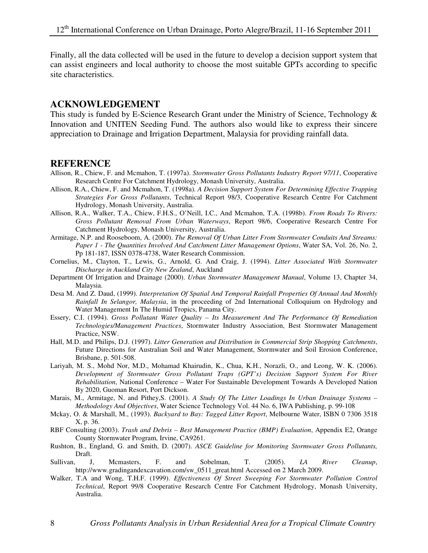Finally, all the data collected will be used in the future to develop a decision support system that can assist engineers and local authority to choose the most suitable GPTs according to specific site characteristics.

#### **ACKNOWLEDGEMENT**

This study is funded by E-Science Research Grant under the Ministry of Science, Technology & Innovation and UNITEN Seeding Fund. The authors also would like to express their sincere appreciation to Drainage and Irrigation Department, Malaysia for providing rainfall data.

#### **REFERENCE**

- Allison, R., Chiew, F. and Mcmahon, T. (1997a). *Stormwater Gross Pollutants Industry Report 97/11*, Cooperative Research Centre For Catchment Hydrology, Monash University, Australia.
- Allison, R.A., Chiew, F. and Mcmahon, T. (1998a). *A Decision Support System For Determining Effective Trapping Strategies For Gross Pollutants*, Technical Report 98/3, Cooperative Research Centre For Catchment Hydrology, Monash University, Australia.
- Allison, R.A., Walker, T.A., Chiew, F.H.S., O'Neill, I.C., And Mcmahon, T.A. (1998b). *From Roads To Rivers: Gross Pollutant Removal From Urban Waterways*, Report 98/6, Cooperative Research Centre For Catchment Hydrology, Monash University, Australia.
- Armitage, N.P. and Rooseboom, A. (2000). *The Removal Of Urban Litter From Stormwater Conduits And Streams: Paper 1 - The Quantities Involved And Catchment Litter Management Options*, Water SA, Vol. 26, No. 2, Pp 181-187, ISSN 0378-4738, Water Research Commission.
- Cornelius, M., Clayton, T., Lewis, G., Arnold, G. And Craig, J. (1994). *Litter Associated With Stormwater Discharge in Auckland City New Zealand*, Auckland
- Department Of Irrigation and Drainage (2000). *Urban Stormwater Management Manual*, Volume 13, Chapter 34, Malaysia.
- Desa M. And Z. Daud, (1999). *Interpretation Of Spatial And Temporal Rainfall Properties Of Annual And Monthly Rainfall In Selangor, Malaysia*, in the proceeding of 2nd International Colloquium on Hydrology and Water Management In The Humid Tropics, Panama City.
- Essery, C.I. (1994). *Gross Pollutant Water Quality Its Measurement And The Performance Of Remediation Technologies/Management Practices*, Stormwater Industry Association, Best Stormwater Management Practice, NSW.
- Hall, M.D. and Philips, D.J. (1997). *Litter Generation and Distribution in Commercial Strip Shopping Catchments*, Future Directions for Australian Soil and Water Management, Stormwater and Soil Erosion Conference, Brisbane, p. 501-508.
- Lariyah, M. S., Mohd Nor, M.D., Mohamad Khairudin, K., Chua, K.H., Norazli, O., and Leong, W. K. (2006). *Development of Stormwater Gross Pollutant Traps (GPT's) Decision Support System For River Rehabilitation*, National Conference – Water For Sustainable Development Towards A Developed Nation By 2020, Guoman Resort, Port Dickson.
- Marais, M., Armitage, N. and Pithey,S. (2001). *A Study Of The Litter Loadings In Urban Drainage Systems Methodology And Objectives*, Water Science Technology Vol. 44 No. 6, IWA Publishing, p. 99-108
- Mckay, O. & Marshall, M., (1993). *Backyard to Bay: Tagged Litter Report*, Melbourne Water, ISBN 0 7306 3518 X, p. 36.
- RBF Consulting (2003). *Trash and Debris Best Management Practice (BMP) Evaluation*, Appendix E2, Orange County Stormwater Program, Irvine, CA9261.
- Rushton, B., England, G. and Smith, D. (2007). *ASCE Guideline for Monitoring Stormwater Gross Pollutants,* Draft.
- Sullivan, J, Mcmasters, F. and Sobelman, T. (2005). *LA River Cleanup*, http://www.gradingandexcavation.com/sw\_0511\_great.html Accessed on 2 March 2009.
- Walker, T.A and Wong, T.H.F. (1999). *Effectiveness Of Street Sweeping For Stormwater Pollution Control Technical*, Report 99/8 Cooperative Research Centre For Catchment Hydrology, Monash University, Australia.